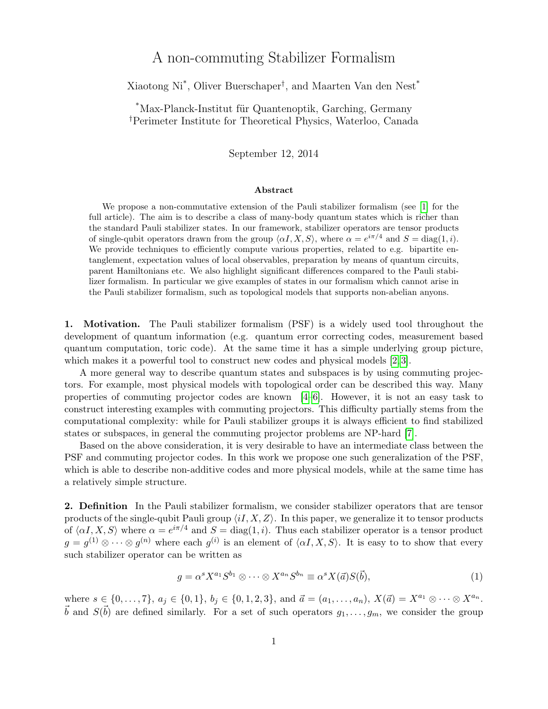# A non-commuting Stabilizer Formalism

Xiaotong Ni\* , Oliver Buerschaper† , and Maarten Van den Nest\*

\*Max-Planck-Institut für Quantenoptik, Garching, Germany †Perimeter Institute for Theoretical Physics, Waterloo, Canada

September 12, 2014

### Abstract

We propose a non-commutative extension of the Pauli stabilizer formalism (see [\[1\]](#page-2-0) for the full article). The aim is to describe a class of many-body quantum states which is richer than the standard Pauli stabilizer states. In our framework, stabilizer operators are tensor products of single-qubit operators drawn from the group  $\langle \alpha I, X, S \rangle$ , where  $\alpha = e^{i\pi/4}$  and  $S = \text{diag}(1, i)$ . We provide techniques to efficiently compute various properties, related to e.g. bipartite entanglement, expectation values of local observables, preparation by means of quantum circuits, parent Hamiltonians etc. We also highlight significant differences compared to the Pauli stabilizer formalism. In particular we give examples of states in our formalism which cannot arise in the Pauli stabilizer formalism, such as topological models that supports non-abelian anyons.

1. Motivation. The Pauli stabilizer formalism (PSF) is a widely used tool throughout the development of quantum information (e.g. quantum error correcting codes, measurement based quantum computation, toric code). At the same time it has a simple underlying group picture, which makes it a powerful tool to construct new codes and physical models [\[2,](#page-2-1)3].

A more general way to describe quantum states and subspaces is by using commuting projectors. For example, most physical models with topological order can be described this way. Many properties of commuting projector codes are known [\[4–](#page-3-0)[6\]](#page-3-1). However, it is not an easy task to construct interesting examples with commuting projectors. This difficulty partially stems from the computational complexity: while for Pauli stabilizer groups it is always efficient to find stabilized states or subspaces, in general the commuting projector problems are NP-hard [\[7\]](#page-3-2).

Based on the above consideration, it is very desirable to have an intermediate class between the PSF and commuting projector codes. In this work we propose one such generalization of the PSF, which is able to describe non-additive codes and more physical models, while at the same time has a relatively simple structure.

2. Definition In the Pauli stabilizer formalism, we consider stabilizer operators that are tensor products of the single-qubit Pauli group  $\langle iI, X, Z \rangle$ . In this paper, we generalize it to tensor products of  $\langle \alpha I, X, S \rangle$  where  $\alpha = e^{i\pi/4}$  and  $S = \text{diag}(1, i)$ . Thus each stabilizer operator is a tensor product  $g = g^{(1)} \otimes \cdots \otimes g^{(n)}$  where each  $g^{(i)}$  is an element of  $\langle \alpha I, X, S \rangle$ . It is easy to to show that every such stabilizer operator can be written as

$$
g = \alpha^s X^{a_1} S^{b_1} \otimes \dots \otimes X^{a_n} S^{b_n} \equiv \alpha^s X(\vec{a}) S(\vec{b}), \tag{1}
$$

where  $s \in \{0, \ldots, 7\}, a_j \in \{0, 1\}, b_j \in \{0, 1, 2, 3\}, \text{ and } \vec{a} = (a_1, \ldots, a_n), X(\vec{a}) = X^{a_1} \otimes \cdots \otimes X^{a_n}$ .  $\vec{b}$  and  $S(\vec{b})$  are defined similarly. For a set of such operators  $g_1, \ldots, g_m$ , we consider the group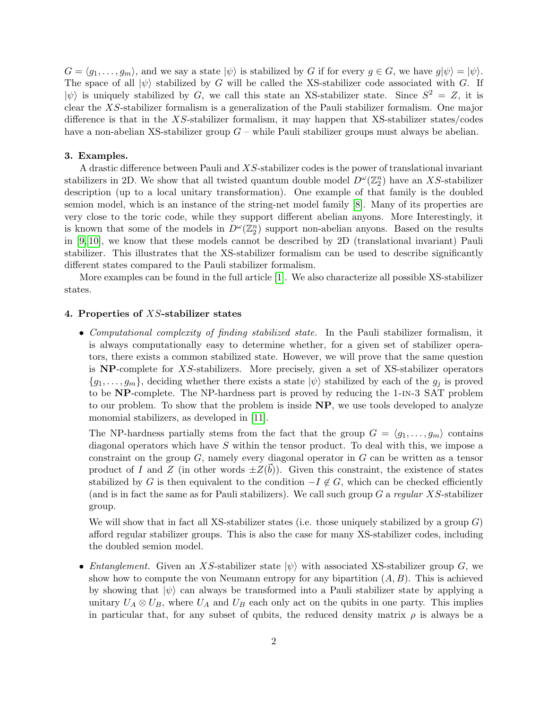$G = \langle g_1, \ldots, g_m \rangle$ , and we say a state  $|\psi\rangle$  is stabilized by G if for every  $g \in G$ , we have  $g|\psi\rangle = |\psi\rangle$ . The space of all  $|\psi\rangle$  stabilized by G will be called the XS-stabilizer code associated with G. If  $|\psi\rangle$  is uniquely stabilized by G, we call this state an XS-stabilizer state. Since  $S^2 = Z$ , it is clear the XS-stabilizer formalism is a generalization of the Pauli stabilizer formalism. One major difference is that in the  $XS$ -stabilizer formalism, it may happen that  $XS$ -stabilizer states/codes have a non-abelian XS-stabilizer group  $G$  – while Pauli stabilizer groups must always be abelian.

#### 3. Examples.

A drastic difference between Pauli and XS-stabilizer codes is the power of translational invariant stabilizers in 2D. We show that all twisted quantum double model  $D^{\omega}(\mathbb{Z}_2^n)$  have an XS-stabilizer description (up to a local unitary transformation). One example of that family is the doubled semion model, which is an instance of the string-net model family [\[8\]](#page-3-3). Many of its properties are very close to the toric code, while they support different abelian anyons. More Interestingly, it is known that some of the models in  $D^{\omega}(\mathbb{Z}_2^n)$  support non-abelian anyons. Based on the results in [\[9,](#page-3-4) [10\]](#page-3-5), we know that these models cannot be described by 2D (translational invariant) Pauli stabilizer. This illustrates that the XS-stabilizer formalism can be used to describe significantly different states compared to the Pauli stabilizer formalism.

More examples can be found in the full article [\[1\]](#page-2-0). We also characterize all possible XS-stabilizer states.

## 4. Properties of XS-stabilizer states

• *Computational complexity of finding stabilized state.* In the Pauli stabilizer formalism, it is always computationally easy to determine whether, for a given set of stabilizer operators, there exists a common stabilized state. However, we will prove that the same question is  $NP$ -complete for XS-stabilizers. More precisely, given a set of XS-stabilizer operators  $\{g_1, \ldots, g_m\}$ , deciding whether there exists a state  $|\psi\rangle$  stabilized by each of the  $g_j$  is proved to be NP-complete. The NP-hardness part is proved by reducing the 1-in-3 SAT problem to our problem. To show that the problem is inside NP, we use tools developed to analyze monomial stabilizers, as developed in [\[11\]](#page-3-6).

The NP-hardness partially stems from the fact that the group  $G = \langle g_1, \ldots, g_m \rangle$  contains diagonal operators which have S within the tensor product. To deal with this, we impose a constraint on the group  $G$ , namely every diagonal operator in  $G$  can be written as a tensor product of I and Z (in other words  $\pm Z(\vec{b})$ ). Given this constraint, the existence of states stabilized by G is then equivalent to the condition  $-I \notin G$ , which can be checked efficiently (and is in fact the same as for Pauli stabilizers). We call such group  $G$  a regular XS-stabilizer group.

We will show that in fact all XS-stabilizer states (i.e. those uniquely stabilized by a group  $G$ ) afford regular stabilizer groups. This is also the case for many XS-stabilizer codes, including the doubled semion model.

• *Entanglement.* Given an XS-stabilizer state  $|\psi\rangle$  with associated XS-stabilizer group G, we show how to compute the von Neumann entropy for any bipartition  $(A, B)$ . This is achieved by showing that  $|\psi\rangle$  can always be transformed into a Pauli stabilizer state by applying a unitary  $U_A \otimes U_B$ , where  $U_A$  and  $U_B$  each only act on the qubits in one party. This implies in particular that, for any subset of qubits, the reduced density matrix  $\rho$  is always be a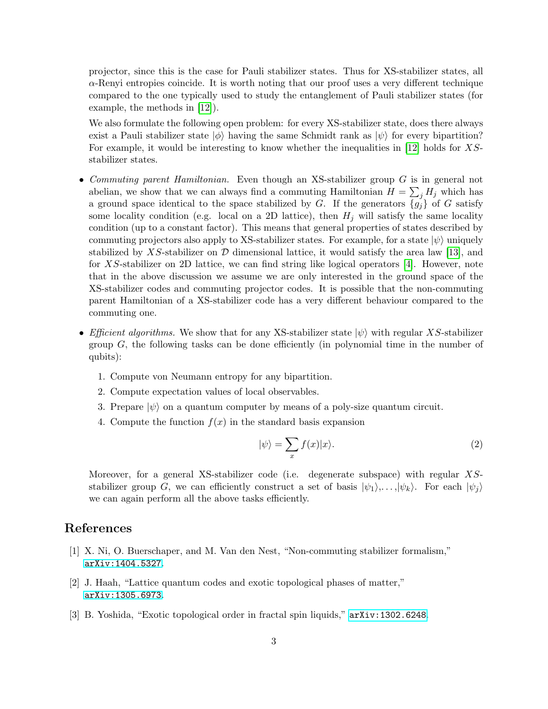projector, since this is the case for Pauli stabilizer states. Thus for XS-stabilizer states, all  $\alpha$ -Renyi entropies coincide. It is worth noting that our proof uses a very different technique compared to the one typically used to study the entanglement of Pauli stabilizer states (for example, the methods in [\[12\]](#page-3-7)).

We also formulate the following open problem: for every XS-stabilizer state, does there always exist a Pauli stabilizer state  $|\phi\rangle$  having the same Schmidt rank as  $|\psi\rangle$  for every bipartition? For example, it would be interesting to know whether the inequalities in [\[12\]](#page-3-7) holds for XSstabilizer states.

- Commuting parent Hamiltonian. Even though an XS-stabilizer group G is in general not abelian, we show that we can always find a commuting Hamiltonian  $H = \sum_j H_j$  which has a ground space identical to the space stabilized by G. If the generators  $\{g_i\}$  of G satisfy some locality condition (e.g. local on a 2D lattice), then  $H_i$  will satisfy the same locality condition (up to a constant factor). This means that general properties of states described by commuting projectors also apply to XS-stabilizer states. For example, for a state  $|\psi\rangle$  uniquely stabilized by XS-stabilizer on  $\mathcal D$  dimensional lattice, it would satisfy the area law [\[13\]](#page-3-8), and for XS-stabilizer on 2D lattice, we can find string like logical operators  $[4]$ . However, note that in the above discussion we assume we are only interested in the ground space of the XS-stabilizer codes and commuting projector codes. It is possible that the non-commuting parent Hamiltonian of a XS-stabilizer code has a very different behaviour compared to the commuting one.
- Efficient algorithms. We show that for any XS-stabilizer state  $|\psi\rangle$  with regular XS-stabilizer group  $G$ , the following tasks can be done efficiently (in polynomial time in the number of qubits):
	- 1. Compute von Neumann entropy for any bipartition.
	- 2. Compute expectation values of local observables.
	- 3. Prepare  $|\psi\rangle$  on a quantum computer by means of a poly-size quantum circuit.
	- 4. Compute the function  $f(x)$  in the standard basis expansion

$$
|\psi\rangle = \sum_{x} f(x)|x\rangle. \tag{2}
$$

Moreover, for a general XS-stabilizer code (i.e. degenerate subspace) with regular XSstabilizer group G, we can efficiently construct a set of basis  $|\psi_1\rangle, \ldots, |\psi_k\rangle$ . For each  $|\psi_j\rangle$ we can again perform all the above tasks efficiently.

# References

- <span id="page-2-0"></span>[1] X. Ni, O. Buerschaper, and M. Van den Nest, "Non-commuting stabilizer formalism," [arXiv:1404.5327](http://arxiv.org/abs/1404.5327).
- <span id="page-2-1"></span>[2] J. Haah, "Lattice quantum codes and exotic topological phases of matter," [arXiv:1305.6973](http://arxiv.org/abs/1305.6973).
- <span id="page-2-2"></span>[3] B. Yoshida, "Exotic topological order in fractal spin liquids," [arXiv:1302.6248](http://arxiv.org/abs/1302.6248).